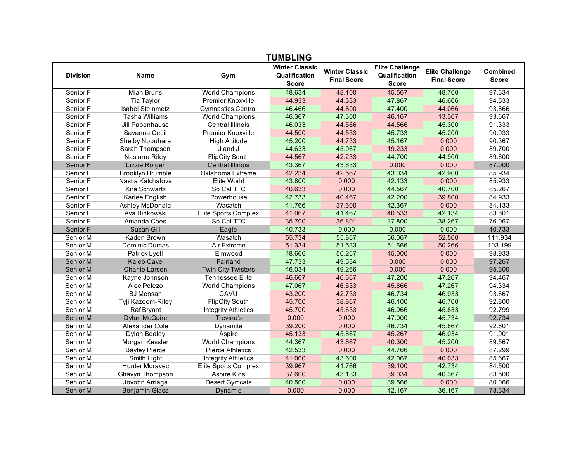| <b>TUMBLING</b> |                         |                            |                                                        |                                             |                                                         |                                              |                                 |  |
|-----------------|-------------------------|----------------------------|--------------------------------------------------------|---------------------------------------------|---------------------------------------------------------|----------------------------------------------|---------------------------------|--|
| <b>Division</b> | <b>Name</b>             | Gym                        | <b>Winter Classic</b><br>Qualification<br><b>Score</b> | <b>Winter Classic</b><br><b>Final Score</b> | <b>Elite Challenge</b><br>Qualification<br><b>Score</b> | <b>Elite Challenge</b><br><b>Final Score</b> | <b>Combined</b><br><b>Score</b> |  |
| Senior F        | <b>Miah Bruns</b>       | World Champions            | 48.634                                                 | 48.100                                      | 45.567                                                  | 48.700                                       | 97.334                          |  |
| Senior F        | Tia Taylor              | Premier Knoxville          | 44.933                                                 | 44.333                                      | 47.867                                                  | 46.666                                       | 94.533                          |  |
| Senior F        | <b>Isabel Steinmetz</b> | <b>Gymnastics Central</b>  | 46.466                                                 | 44.800                                      | 47.400                                                  | 44.066                                       | 93.866                          |  |
| Senior F        | <b>Tasha Williams</b>   | <b>World Champions</b>     | 46.367                                                 | 47.300                                      | 46.167                                                  | 13.367                                       | 93.667                          |  |
| Senior F        | Jill Papenhause         | <b>Central Illinois</b>    | 46.033                                                 | 44.566                                      | 44.566                                                  | 45.300                                       | 91.333                          |  |
| Senior F        | Savanna Cecil           | <b>Premier Knoxville</b>   | 44.500                                                 | 44.533                                      | 45.733                                                  | 45.200                                       | 90.933                          |  |
| Senior F        | Shelby Nobuhara         | <b>High Altitude</b>       | 45.200                                                 | 44.733                                      | 45.167                                                  | 0.000                                        | 90.367                          |  |
| Senior F        | Sarah Thompson          | J and J                    | 44.633                                                 | 45.067                                      | 19.233                                                  | 0.000                                        | 89.700                          |  |
| Senior F        | Nasiarra Riley          | <b>FlipCity South</b>      | 44.567                                                 | 42.233                                      | 44.700                                                  | 44.900                                       | 89.600                          |  |
| Senior F        | Lizzie Roiger           | <b>Central Illinois</b>    | 43.367                                                 | 43.633                                      | 0.000                                                   | 0.000                                        | 87,000                          |  |
| Senior F        | <b>Brooklyn Brumble</b> | Oklahoma Extreme           | 42.234                                                 | 42.567                                      | 43.034                                                  | 42.900                                       | 85.934                          |  |
| Senior F        | Nastia Katchalova       | Elite World                | 43.800                                                 | 0.000                                       | 42.133                                                  | 0.000                                        | 85.933                          |  |
| Senior F        | Kira Schwartz           | So Cal TTC                 | 40.633                                                 | 0.000                                       | 44.567                                                  | 40.700                                       | 85.267                          |  |
| Senior F        | Karlee English          | Powerhouse                 | 42.733                                                 | 40.467                                      | 42.200                                                  | 39.800                                       | 84.933                          |  |
| Senior F        | Ashley McDonald         | Wasatch                    | 41.766                                                 | 37.600                                      | 42.367                                                  | 0.000                                        | 84.133                          |  |
| Senior F        | Ava Binkowski           | Elite Sports Complex       | 41.067                                                 | 41.467                                      | 40.533                                                  | 42.134                                       | 83.601                          |  |
| Senior F        | Amanda Coes             | So Cal TTC                 | 35.700                                                 | 36.801                                      | 37.800                                                  | 38.267                                       | 76.067                          |  |
| Senior F        | Susan Gill              | Eagle                      | 40.733                                                 | 0.000                                       | 0.000                                                   | 0.000                                        | 40.733                          |  |
| Senior M        | Kaden Brown             | Wasatch                    | 55.734                                                 | 55.867                                      | 56.067                                                  | 52.500                                       | 111.934                         |  |
| Senior M        | Dominic Dumas           | Air Extreme                | 51.334                                                 | 51.533                                      | 51.666                                                  | 50.266                                       | 103.199                         |  |
| Senior M        | Patrick Lyell           | Elmwood                    | 48.666                                                 | 50.267                                      | 45.000                                                  | 0.000                                        | 98.933                          |  |
| Senior M        | <b>Kaleb Cave</b>       | Fairland                   | 47.733                                                 | 49.534                                      | 0.000                                                   | 0.000                                        | 97.267                          |  |
| Senior M        | <b>Charlie Larson</b>   | <b>Twin City Twisters</b>  | 46.034                                                 | 49.266                                      | 0.000                                                   | 0.000                                        | 95.300                          |  |
| Senior M        | Kayne Johnson           | <b>Tennessee Elite</b>     | 46.667                                                 | 46.667                                      | 47.200                                                  | 47.267                                       | 94.467                          |  |
| Senior M        | Alec Pelezo             | <b>World Champions</b>     | 47.067                                                 | 46.533                                      | 45.866                                                  | 47.267                                       | 94.334                          |  |
| Senior M        | <b>BJ</b> Mensah        | CAVU                       | 43.200                                                 | 42.733                                      | 46.734                                                  | 46.933                                       | 93.667                          |  |
| Senior M        | Tyji Kazeem-Riley       | <b>FlipCity South</b>      | 45.700                                                 | 38.867                                      | 46.100                                                  | 46.700                                       | 92.800                          |  |
| Senior M        | <b>Raf Bryant</b>       | <b>Integrity Athletics</b> | 45.700                                                 | 45.633                                      | 46.966                                                  | 45.833                                       | 92.799                          |  |
| Senior M        | <b>Dylan McGuire</b>    | Trevino's                  | 0.000                                                  | 0.000                                       | 47.000                                                  | 45.734                                       | 92.734                          |  |
| Senior M        | Alexander Cole          | Dynamite                   | 39.200                                                 | 0.000                                       | 46.734                                                  | 45.867                                       | 92.601                          |  |
| Senior M        | <b>Dylan Bealey</b>     | Aspire                     | 45.133                                                 | 45.867                                      | 45.267                                                  | 46.034                                       | 91.901                          |  |
| Senior M        | Morgan Kessler          | <b>World Champions</b>     | 44.367                                                 | 43.667                                      | 40.300                                                  | 45.200                                       | 89.567                          |  |
| Senior M        | <b>Bayley Pierce</b>    | <b>Pierce Athletics</b>    | 42.533                                                 | 0.000                                       | 44.766                                                  | 0.000                                        | 87.299                          |  |
| Senior M        | Smith Light             | <b>Integrity Athletics</b> | 41.000                                                 | 43.600                                      | 42.067                                                  | 40.033                                       | 85.667                          |  |
| Senior M        | <b>Hunter Moravec</b>   | Elite Sports Complex       | 39.967                                                 | 41.766                                      | 39.100                                                  | 42.734                                       | 84.500                          |  |
| Senior M        | Ghavyn Thompson         | Aspire Kids                | 37.600                                                 | 43.133                                      | 39.034                                                  | 40.367                                       | 83.500                          |  |
| Senior M        | Jovohn Arriaga          | <b>Desert Gymcats</b>      | 40.500                                                 | 0.000                                       | 39.566                                                  | 0.000                                        | 80.066                          |  |
| Senior M        | <b>Benjamin Glass</b>   | Dynamic                    | 0.000                                                  | 0.000                                       | 42.167                                                  | 36.167                                       | 78.334                          |  |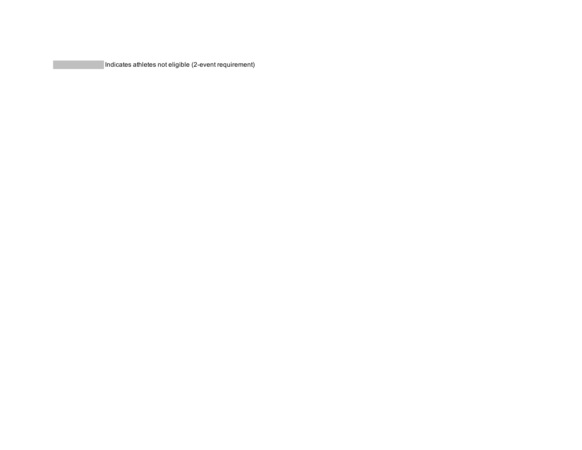Indicates athletes not eligible (2-event requirement)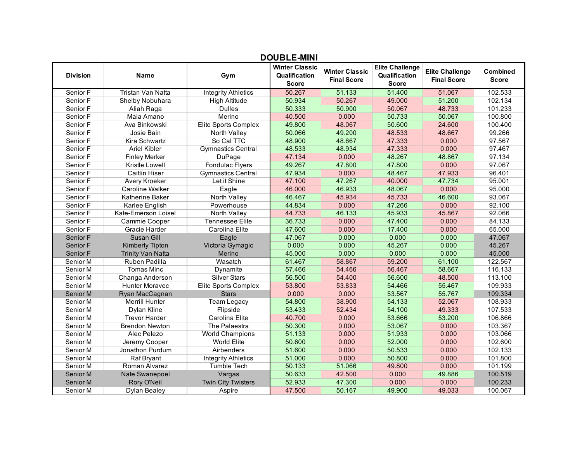| ו יוויויד∟∟     |                          |                            |                                                        |                                             |                                                         |                                              |                                 |  |
|-----------------|--------------------------|----------------------------|--------------------------------------------------------|---------------------------------------------|---------------------------------------------------------|----------------------------------------------|---------------------------------|--|
| <b>Division</b> | Name                     | Gym                        | <b>Winter Classic</b><br>Qualification<br><b>Score</b> | <b>Winter Classic</b><br><b>Final Score</b> | <b>Elite Challenge</b><br>Qualification<br><b>Score</b> | <b>Elite Challenge</b><br><b>Final Score</b> | <b>Combined</b><br><b>Score</b> |  |
| Senior F        | Tristan Van Natta        | <b>Integrity Athletics</b> | 50.267                                                 | 51.133                                      | 51.400                                                  | 51.067                                       | 102.533                         |  |
| Senior F        | Shelby Nobuhara          | <b>High Altitude</b>       | 50.934                                                 | 50.267                                      | 49.000                                                  | 51.200                                       | 102.134                         |  |
| Senior F        | Aliah Raga               | <b>Dulles</b>              | 50.333                                                 | 50.900                                      | 50.067                                                  | 48.733                                       | 101.233                         |  |
| Senior F        | Maia Amano               | Merino                     | 40.500                                                 | 0.000                                       | 50.733                                                  | 50.067                                       | 100.800                         |  |
| Senior F        | Ava Binkowski            | Elite Sports Complex       | 49.800                                                 | 48.067                                      | 50.600                                                  | 24.600                                       | 100.400                         |  |
| Senior F        | Josie Bain               | North Valley               | 50.066                                                 | 49.200                                      | 48.533                                                  | 48.667                                       | 99.266                          |  |
| Senior F        | Kira Schwartz            | So Cal TTC                 | 48.900                                                 | 48.667                                      | 47.333                                                  | 0.000                                        | 97.567                          |  |
| Senior F        | Ariel Kibler             | <b>Gymnastics Central</b>  | 48.533                                                 | 48.934                                      | 47.333                                                  | 0.000                                        | 97.467                          |  |
| Senior F        | <b>Finley Merker</b>     | DuPage                     | 47.134                                                 | 0.000                                       | 48.267                                                  | 48.867                                       | 97.134                          |  |
| Senior F        | Kristle Lowell           | Fondulac Flyers            | 49.267                                                 | 47.800                                      | 47.800                                                  | 0.000                                        | 97.067                          |  |
| Senior F        | <b>Caitlin Hiser</b>     | <b>Gymnastics Central</b>  | 47.934                                                 | 0.000                                       | 48.467                                                  | 47.933                                       | 96.401                          |  |
| Senior F        | Avery Kroeker            | Let it Shine               | 47.100                                                 | 47.267                                      | 40.000                                                  | 47.734                                       | 95.001                          |  |
| Senior F        | Caroline Walker          | Eagle                      | 46.000                                                 | 46.933                                      | 48.067                                                  | 0.000                                        | 95.000                          |  |
| Senior F        | Katherine Baker          | North Valley               | 46.467                                                 | 45.934                                      | 45.733                                                  | 46.600                                       | 93.067                          |  |
| Senior F        | Karlee English           | Powerhouse                 | 44.834                                                 | 0.000                                       | 47.266                                                  | 0.000                                        | 92.100                          |  |
| Senior F        | Kate-Emerson Loisel      | North Valley               | 44.733                                                 | 46.133                                      | 45.933                                                  | 45.867                                       | 92.066                          |  |
| Senior F        | Cammie Cooper            | <b>Tennessee Elite</b>     | 36.733                                                 | 0.000                                       | 47.400                                                  | 0.000                                        | 84.133                          |  |
| Senior F        | Gracie Harder            | Carolina Elite             | 47.600                                                 | 0.000                                       | 17.400                                                  | 0.000                                        | 65.000                          |  |
| Senior F        | Susan Gill               | Eagle                      | 47.067                                                 | 0.000                                       | 0.000                                                   | 0.000                                        | 47.067                          |  |
| Senior F        | <b>Kimberly Tipton</b>   | Victoria Gymagic           | 0.000                                                  | 0.000                                       | 45.267                                                  | 0.000                                        | 45.267                          |  |
| Senior F        | <b>Trinity Van Natta</b> | Merino                     | 45.000                                                 | 0.000                                       | 0.000                                                   | 0.000                                        | 45.000                          |  |
| Senior M        | Ruben Padilla            | Wasatch                    | 61.467                                                 | 58.867                                      | 59.200                                                  | 61.100                                       | 122.567                         |  |
| Senior M        | <b>Tomas Minc</b>        | Dynamite                   | 57.466                                                 | 54.466                                      | 56.467                                                  | 58.667                                       | 116.133                         |  |
| Senior M        | Changa Anderson          | <b>Silver Stars</b>        | 56.500                                                 | 54.400                                      | 56.600                                                  | 48.500                                       | 113.100                         |  |
| Senior M        | <b>Hunter Moravec</b>    | Elite Sports Complex       | 53.800                                                 | 53.833                                      | 54.466                                                  | 55.467                                       | 109.933                         |  |
| Senior M        | Ryan MacCagnan           | <b>Stars</b>               | 0.000                                                  | 0.000                                       | 53.567                                                  | 55.767                                       | 109.334                         |  |
| Senior M        | Merrill Hunter           | <b>Team Legacy</b>         | 54.800                                                 | 38.900                                      | 54.133                                                  | 52.067                                       | 108.933                         |  |
| Senior M        | Dylan Kline              | Flipside                   | 53.433                                                 | 52.434                                      | 54.100                                                  | 49.333                                       | 107.533                         |  |
| Senior M        | <b>Trevor Harder</b>     | Carolina Elite             | 40.700                                                 | 0.000                                       | 53.666                                                  | 53.200                                       | 106.866                         |  |
| Senior M        | <b>Brendon Newton</b>    | The Palaestra              | 50.300                                                 | 0.000                                       | 53.067                                                  | 0.000                                        | 103.367                         |  |
| Senior M        | Alec Pelezo              | <b>World Champions</b>     | 51.133                                                 | 0.000                                       | 51.933                                                  | 0.000                                        | 103.066                         |  |
| Senior M        | Jeremy Cooper            | <b>World Elite</b>         | 50.600                                                 | 0.000                                       | 52.000                                                  | 0.000                                        | 102.600                         |  |
| Senior M        | Jonathon Purdum          | Airbenders                 | 51.600                                                 | 0.000                                       | 50.533                                                  | 0.000                                        | 102.133                         |  |
| Senior M        | <b>Raf Bryant</b>        | <b>Integrity Athletics</b> | 51.000                                                 | 0.000                                       | 50.800                                                  | 0.000                                        | 101.800                         |  |
| Senior M        | Roman Alvarez            | <b>Tumble Tech</b>         | 50.133                                                 | 51.066                                      | 49.800                                                  | 0.000                                        | 101.199                         |  |
| Senior M        | Nate Swanepoel           | Vargas                     | 50.633                                                 | 42.500                                      | 0.000                                                   | 49.886                                       | 100.519                         |  |
| Senior M        | <b>Rory O'Neil</b>       | <b>Twin City Twisters</b>  | 52.933                                                 | 47.300                                      | 0.000                                                   | 0.000                                        | 100.233                         |  |
| Senior M        | <b>Dylan Bealey</b>      | Aspire                     | 47.500                                                 | 50.167                                      | 49.900                                                  | 49.033                                       | 100.067                         |  |

## **DOUBLE-MINI**